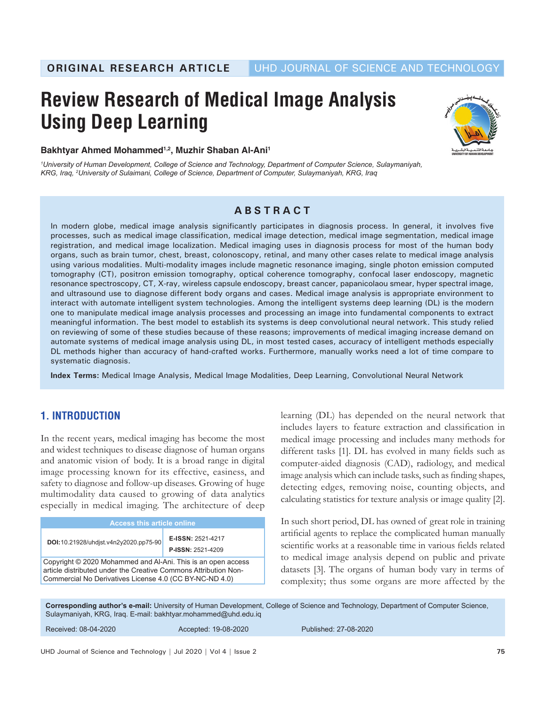# **Review Research of Medical Image Analysis Using Deep Learning**



**Bakhtyar Ahmed Mohammed1,2, Muzhir Shaban Al-Ani1**

*1 University of Human Development, College of Science and Technology, Department of Computer Science, Sulaymaniyah, KRG, Iraq, 2 University of Sulaimani, College of Science, Department of Computer, Sulaymaniyah, KRG, Iraq*

# **ABSTRACT**

In modern globe, medical image analysis significantly participates in diagnosis process. In general, it involves five processes, such as medical image classification, medical image detection, medical image segmentation, medical image registration, and medical image localization. Medical imaging uses in diagnosis process for most of the human body organs, such as brain tumor, chest, breast, colonoscopy, retinal, and many other cases relate to medical image analysis using various modalities. Multi-modality images include magnetic resonance imaging, single photon emission computed tomography (CT), positron emission tomography, optical coherence tomography, confocal laser endoscopy, magnetic resonance spectroscopy, CT, X-ray, wireless capsule endoscopy, breast cancer, papanicolaou smear, hyper spectral image, and ultrasound use to diagnose different body organs and cases. Medical image analysis is appropriate environment to interact with automate intelligent system technologies. Among the intelligent systems deep learning (DL) is the modern one to manipulate medical image analysis processes and processing an image into fundamental components to extract meaningful information. The best model to establish its systems is deep convolutional neural network. This study relied on reviewing of some of these studies because of these reasons; improvements of medical imaging increase demand on automate systems of medical image analysis using DL, in most tested cases, accuracy of intelligent methods especially DL methods higher than accuracy of hand-crafted works. Furthermore, manually works need a lot of time compare to systematic diagnosis.

**Index Terms:** Medical Image Analysis, Medical Image Modalities, Deep Learning, Convolutional Neural Network

# **1. INTRODUCTION**

In the recent years, medical imaging has become the most and widest techniques to disease diagnose of human organs and anatomic vision of body. It is a broad range in digital image processing known for its effective, easiness, and safety to diagnose and follow-up diseases. Growing of huge multimodality data caused to growing of data analytics especially in medical imaging. The architecture of deep

| <b>Access this article online</b>                                                                                                                                                          |  |  |  |  |  |  |
|--------------------------------------------------------------------------------------------------------------------------------------------------------------------------------------------|--|--|--|--|--|--|
| E-ISSN: 2521-4217<br>DOI: 10.21928/uhdjst.v4n2y2020.pp75-90<br><b>P-ISSN: 2521-4209</b>                                                                                                    |  |  |  |  |  |  |
| Copyright © 2020 Mohammed and Al-Ani. This is an open access<br>article distributed under the Creative Commons Attribution Non-<br>Commercial No Derivatives License 4.0 (CC BY-NC-ND 4.0) |  |  |  |  |  |  |

learning (DL) has depended on the neural network that includes layers to feature extraction and classification in medical image processing and includes many methods for different tasks [1]. DL has evolved in many fields such as computer-aided diagnosis (CAD), radiology, and medical image analysis which can include tasks, such as finding shapes, detecting edges, removing noise, counting objects, and calculating statistics for texture analysis or image quality [2].

In such short period, DL has owned of great role in training artificial agents to replace the complicated human manually scientific works at a reasonable time in various fields related to medical image analysis depend on public and private datasets [3]. The organs of human body vary in terms of complexity; thus some organs are more affected by the

**Corresponding author's e-mail:** University of Human Development, College of Science and Technology, Department of Computer Science, Sulaymaniyah, KRG, Iraq. E-mail: bakhtyar.mohammed@uhd.edu.iq

| Received: 08-04-2020<br>Accepted: 19-08-2020 | Published: 27-08-2020 |
|----------------------------------------------|-----------------------|
|----------------------------------------------|-----------------------|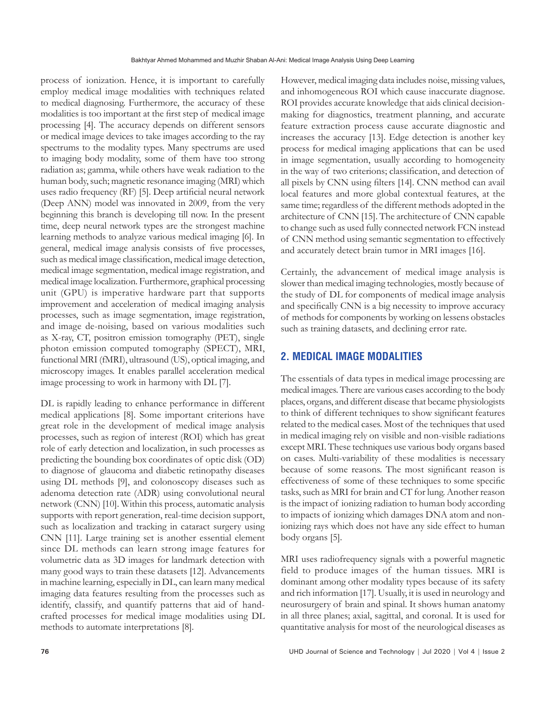process of ionization. Hence, it is important to carefully employ medical image modalities with techniques related to medical diagnosing. Furthermore, the accuracy of these modalities is too important at the first step of medical image processing [4]. The accuracy depends on different sensors or medical image devices to take images according to the ray spectrums to the modality types. Many spectrums are used to imaging body modality, some of them have too strong radiation as; gamma, while others have weak radiation to the human body, such; magnetic resonance imaging (MRI) which uses radio frequency (RF) [5]. Deep artificial neural network (Deep ANN) model was innovated in 2009, from the very beginning this branch is developing till now. In the present time, deep neural network types are the strongest machine learning methods to analyze various medical imaging [6]. In general, medical image analysis consists of five processes, such as medical image classification, medical image detection, medical image segmentation, medical image registration, and medical image localization. Furthermore, graphical processing unit (GPU) is imperative hardware part that supports improvement and acceleration of medical imaging analysis processes, such as image segmentation, image registration, and image de-noising, based on various modalities such as X-ray, CT, positron emission tomography (PET), single photon emission computed tomography (SPECT), MRI, functional MRI (fMRI), ultrasound (US), optical imaging, and microscopy images. It enables parallel acceleration medical image processing to work in harmony with DL [7].

DL is rapidly leading to enhance performance in different medical applications [8]. Some important criterions have great role in the development of medical image analysis processes, such as region of interest (ROI) which has great role of early detection and localization, in such processes as predicting the bounding box coordinates of optic disk (OD) to diagnose of glaucoma and diabetic retinopathy diseases using DL methods [9], and colonoscopy diseases such as adenoma detection rate (ADR) using convolutional neural network (CNN) [10]. Within this process, automatic analysis supports with report generation, real-time decision support, such as localization and tracking in cataract surgery using CNN [11]. Large training set is another essential element since DL methods can learn strong image features for volumetric data as 3D images for landmark detection with many good ways to train these datasets [12]. Advancements in machine learning, especially in DL, can learn many medical imaging data features resulting from the processes such as identify, classify, and quantify patterns that aid of handcrafted processes for medical image modalities using DL methods to automate interpretations [8].

However, medical imaging data includes noise, missing values, and inhomogeneous ROI which cause inaccurate diagnose. ROI provides accurate knowledge that aids clinical decisionmaking for diagnostics, treatment planning, and accurate feature extraction process cause accurate diagnostic and increases the accuracy [13]. Edge detection is another key process for medical imaging applications that can be used in image segmentation, usually according to homogeneity in the way of two criterions; classification, and detection of all pixels by CNN using filters [14]. CNN method can avail local features and more global contextual features, at the same time; regardless of the different methods adopted in the architecture of CNN [15]. The architecture of CNN capable to change such as used fully connected network FCN instead of CNN method using semantic segmentation to effectively and accurately detect brain tumor in MRI images [16].

Certainly, the advancement of medical image analysis is slower than medical imaging technologies, mostly because of the study of DL for components of medical image analysis and specifically CNN is a big necessity to improve accuracy of methods for components by working on lessens obstacles such as training datasets, and declining error rate.

# **2. MEDICAL IMAGE MODALITIES**

The essentials of data types in medical image processing are medical images. There are various cases according to the body places, organs, and different disease that became physiologists to think of different techniques to show significant features related to the medical cases. Most of the techniques that used in medical imaging rely on visible and non-visible radiations except MRI. These techniques use various body organs based on cases. Multi-variability of these modalities is necessary because of some reasons. The most significant reason is effectiveness of some of these techniques to some specific tasks, such as MRI for brain and CT for lung. Another reason is the impact of ionizing radiation to human body according to impacts of ionizing which damages DNA atom and nonionizing rays which does not have any side effect to human body organs [5].

MRI uses radiofrequency signals with a powerful magnetic field to produce images of the human tissues. MRI is dominant among other modality types because of its safety and rich information [17]. Usually, it is used in neurology and neurosurgery of brain and spinal. It shows human anatomy in all three planes; axial, sagittal, and coronal. It is used for quantitative analysis for most of the neurological diseases as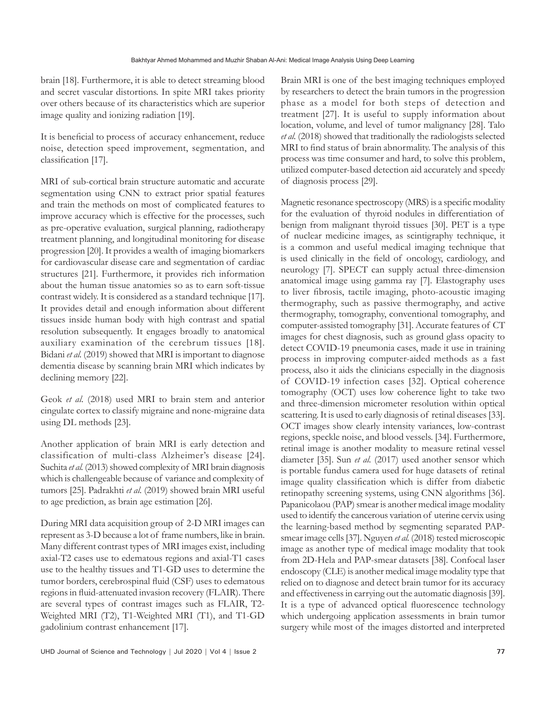brain [18]. Furthermore, it is able to detect streaming blood and secret vascular distortions. In spite MRI takes priority over others because of its characteristics which are superior image quality and ionizing radiation [19].

It is beneficial to process of accuracy enhancement, reduce noise, detection speed improvement, segmentation, and classification [17].

MRI of sub-cortical brain structure automatic and accurate segmentation using CNN to extract prior spatial features and train the methods on most of complicated features to improve accuracy which is effective for the processes, such as pre-operative evaluation, surgical planning, radiotherapy treatment planning, and longitudinal monitoring for disease progression [20]. It provides a wealth of imaging biomarkers for cardiovascular disease care and segmentation of cardiac structures [21]. Furthermore, it provides rich information about the human tissue anatomies so as to earn soft-tissue contrast widely. It is considered as a standard technique [17]. It provides detail and enough information about different tissues inside human body with high contrast and spatial resolution subsequently. It engages broadly to anatomical auxiliary examination of the cerebrum tissues [18]. Bidani *et al.* (2019) showed that MRI is important to diagnose dementia disease by scanning brain MRI which indicates by declining memory [22].

Geok *et al.* (2018) used MRI to brain stem and anterior cingulate cortex to classify migraine and none-migraine data using DL methods [23].

Another application of brain MRI is early detection and classification of multi-class Alzheimer's disease [24]. Suchita *et al.* (2013) showed complexity of MRI brain diagnosis which is challengeable because of variance and complexity of tumors [25]. Padrakhti *et al.* (2019) showed brain MRI useful to age prediction, as brain age estimation [26].

During MRI data acquisition group of 2-D MRI images can represent as 3-D because a lot of frame numbers, like in brain. Many different contrast types of MRI images exist, including axial-T2 cases use to edematous regions and axial-T1 cases use to the healthy tissues and T1-GD uses to determine the tumor borders, cerebrospinal fluid (CSF) uses to edematous regions in fluid-attenuated invasion recovery (FLAIR). There are several types of contrast images such as FLAIR, T2- Weighted MRI (T2), T1-Weighted MRI (T1), and T1-GD gadolinium contrast enhancement [17].

Brain MRI is one of the best imaging techniques employed by researchers to detect the brain tumors in the progression phase as a model for both steps of detection and treatment [27]. It is useful to supply information about location, volume, and level of tumor malignancy [28]. Talo *et al.* (2018) showed that traditionally the radiologists selected MRI to find status of brain abnormality. The analysis of this process was time consumer and hard, to solve this problem, utilized computer-based detection aid accurately and speedy of diagnosis process [29].

Magnetic resonance spectroscopy (MRS) is a specific modality for the evaluation of thyroid nodules in differentiation of benign from malignant thyroid tissues [30]. PET is a type of nuclear medicine images, as scintigraphy technique, it is a common and useful medical imaging technique that is used clinically in the field of oncology, cardiology, and neurology [7]. SPECT can supply actual three-dimension anatomical image using gamma ray [7]. Elastography uses to liver fibrosis, tactile imaging, photo-acoustic imaging thermography, such as passive thermography, and active thermography, tomography, conventional tomography, and computer-assisted tomography [31]. Accurate features of CT images for chest diagnosis, such as ground glass opacity to detect COVID-19 pneumonia cases, made it use in training process in improving computer-aided methods as a fast process, also it aids the clinicians especially in the diagnosis of COVID-19 infection cases [32]. Optical coherence tomography (OCT) uses low coherence light to take two and three-dimension micrometer resolution within optical scattering. It is used to early diagnosis of retinal diseases [33]. OCT images show clearly intensity variances, low-contrast regions, speckle noise, and blood vessels. [34]. Furthermore, retinal image is another modality to measure retinal vessel diameter [35]. Sun *et al.* (2017) used another sensor which is portable fundus camera used for huge datasets of retinal image quality classification which is differ from diabetic retinopathy screening systems, using CNN algorithms [36]. Papanicolaou (PAP) smear is another medical image modality used to identify the cancerous variation of uterine cervix using the learning-based method by segmenting separated PAPsmear image cells [37]. Nguyen *et al.* (2018) tested microscopic image as another type of medical image modality that took from 2D-Hela and PAP-smear datasets [38]. Confocal laser endoscopy (CLE) is another medical image modality type that relied on to diagnose and detect brain tumor for its accuracy and effectiveness in carrying out the automatic diagnosis [39]. It is a type of advanced optical fluorescence technology which undergoing application assessments in brain tumor surgery while most of the images distorted and interpreted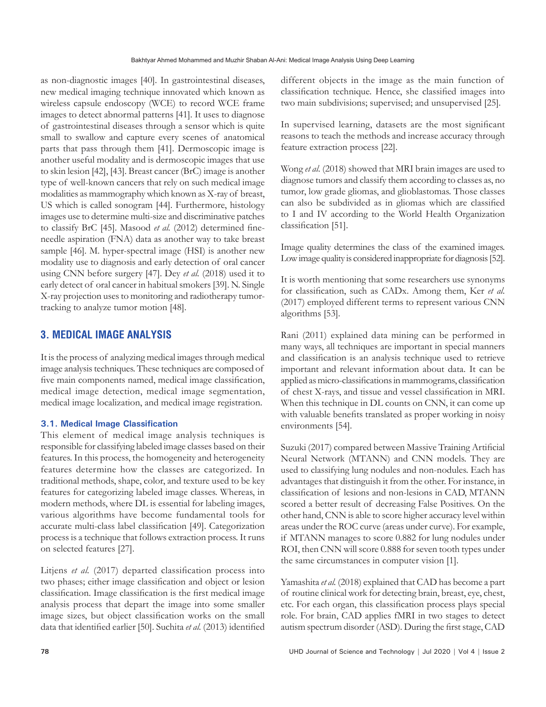as non-diagnostic images [40]. In gastrointestinal diseases, new medical imaging technique innovated which known as wireless capsule endoscopy (WCE) to record WCE frame images to detect abnormal patterns [41]. It uses to diagnose of gastrointestinal diseases through a sensor which is quite small to swallow and capture every scenes of anatomical parts that pass through them [41]. Dermoscopic image is another useful modality and is dermoscopic images that use to skin lesion [42], [43]. Breast cancer (BrC) image is another type of well-known cancers that rely on such medical image modalities as mammography which known as X-ray of breast, US which is called sonogram [44]. Furthermore, histology images use to determine multi-size and discriminative patches to classify BrC [45]. Masood *et al.* (2012) determined fineneedle aspiration (FNA) data as another way to take breast sample [46]. M. hyper-spectral image (HSI) is another new modality use to diagnosis and early detection of oral cancer using CNN before surgery [47]. Dey *et al.* (2018) used it to early detect of oral cancer in habitual smokers [39]. N. Single X-ray projection uses to monitoring and radiotherapy tumortracking to analyze tumor motion [48].

# **3. MEDICAL IMAGE ANALYSIS**

It is the process of analyzing medical images through medical image analysis techniques. These techniques are composed of five main components named, medical image classification, medical image detection, medical image segmentation, medical image localization, and medical image registration.

## **3.1. Medical Image Classification**

This element of medical image analysis techniques is responsible for classifying labeled image classes based on their features. In this process, the homogeneity and heterogeneity features determine how the classes are categorized. In traditional methods, shape, color, and texture used to be key features for categorizing labeled image classes. Whereas, in modern methods, where DL is essential for labeling images, various algorithms have become fundamental tools for accurate multi-class label classification [49]. Categorization process is a technique that follows extraction process. It runs on selected features [27].

Litjens *et al.* (2017) departed classification process into two phases; either image classification and object or lesion classification. Image classification is the first medical image analysis process that depart the image into some smaller image sizes, but object classification works on the small data that identified earlier [50]. Suchita *et al.* (2013) identified different objects in the image as the main function of classification technique. Hence, she classified images into two main subdivisions; supervised; and unsupervised [25].

In supervised learning, datasets are the most significant reasons to teach the methods and increase accuracy through feature extraction process [22].

Wong *et al.* (2018) showed that MRI brain images are used to diagnose tumors and classify them according to classes as, no tumor, low grade gliomas, and glioblastomas. Those classes can also be subdivided as in gliomas which are classified to I and IV according to the World Health Organization classification [51].

Image quality determines the class of the examined images. Low image quality is considered inappropriate for diagnosis [52].

It is worth mentioning that some researchers use synonyms for classification, such as CADx. Among them, Ker *et al.* (2017) employed different terms to represent various CNN algorithms [53].

Rani (2011) explained data mining can be performed in many ways, all techniques are important in special manners and classification is an analysis technique used to retrieve important and relevant information about data. It can be applied as micro-classifications in mammograms, classification of chest X-rays, and tissue and vessel classification in MRI. When this technique in DL counts on CNN, it can come up with valuable benefits translated as proper working in noisy environments [54].

Suzuki (2017) compared between Massive Training Artificial Neural Network (MTANN) and CNN models. They are used to classifying lung nodules and non-nodules. Each has advantages that distinguish it from the other. For instance, in classification of lesions and non-lesions in CAD, MTANN scored a better result of decreasing False Positives. On the other hand, CNN is able to score higher accuracy level within areas under the ROC curve (areas under curve). For example, if MTANN manages to score 0.882 for lung nodules under ROI, then CNN will score 0.888 for seven tooth types under the same circumstances in computer vision [1].

Yamashita *et al.* (2018) explained that CAD has become a part of routine clinical work for detecting brain, breast, eye, chest, etc. For each organ, this classification process plays special role. For brain, CAD applies fMRI in two stages to detect autism spectrum disorder (ASD). During the first stage, CAD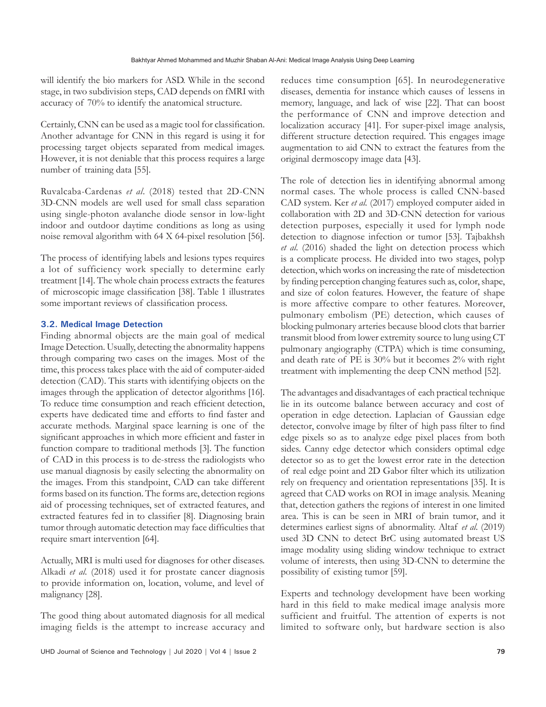will identify the bio markers for ASD. While in the second stage, in two subdivision steps, CAD depends on fMRI with accuracy of 70% to identify the anatomical structure.

Certainly, CNN can be used as a magic tool for classification. Another advantage for CNN in this regard is using it for processing target objects separated from medical images. However, it is not deniable that this process requires a large number of training data [55].

Ruvalcaba-Cardenas *et al*. (2018) tested that 2D-CNN 3D-CNN models are well used for small class separation using single-photon avalanche diode sensor in low-light indoor and outdoor daytime conditions as long as using noise removal algorithm with 64 X 64-pixel resolution [56].

The process of identifying labels and lesions types requires a lot of sufficiency work specially to determine early treatment [14]. The whole chain process extracts the features of microscopic image classification [38]. Table 1 illustrates some important reviews of classification process.

### **3.2. Medical Image Detection**

Finding abnormal objects are the main goal of medical Image Detection. Usually, detecting the abnormality happens through comparing two cases on the images. Most of the time, this process takes place with the aid of computer-aided detection (CAD). This starts with identifying objects on the images through the application of detector algorithms [16]. To reduce time consumption and reach efficient detection, experts have dedicated time and efforts to find faster and accurate methods. Marginal space learning is one of the significant approaches in which more efficient and faster in function compare to traditional methods [3]. The function of CAD in this process is to de-stress the radiologists who use manual diagnosis by easily selecting the abnormality on the images. From this standpoint, CAD can take different forms based on its function. The forms are, detection regions aid of processing techniques, set of extracted features, and extracted features fed in to classifier [8]. Diagnosing brain tumor through automatic detection may face difficulties that require smart intervention [64].

Actually, MRI is multi used for diagnoses for other diseases. Alkadi *et al.* (2018) used it for prostate cancer diagnosis to provide information on, location, volume, and level of malignancy [28].

The good thing about automated diagnosis for all medical imaging fields is the attempt to increase accuracy and reduces time consumption [65]. In neurodegenerative diseases, dementia for instance which causes of lessens in memory, language, and lack of wise [22]. That can boost the performance of CNN and improve detection and localization accuracy [41]. For super-pixel image analysis, different structure detection required. This engages image augmentation to aid CNN to extract the features from the original dermoscopy image data [43].

The role of detection lies in identifying abnormal among normal cases. The whole process is called CNN-based CAD system. Ker *et al.* (2017) employed computer aided in collaboration with 2D and 3D-CNN detection for various detection purposes, especially it used for lymph node detection to diagnose infection or tumor [53]. Tajbakhsh *et al.* (2016) shaded the light on detection process which is a complicate process. He divided into two stages, polyp detection, which works on increasing the rate of misdetection by finding perception changing features such as, color, shape, and size of colon features. However, the feature of shape is more affective compare to other features. Moreover, pulmonary embolism (PE) detection, which causes of blocking pulmonary arteries because blood clots that barrier transmit blood from lower extremity source to lung using CT pulmonary angiography (CTPA) which is time consuming, and death rate of PE is 30% but it becomes 2% with right treatment with implementing the deep CNN method [52].

The advantages and disadvantages of each practical technique lie in its outcome balance between accuracy and cost of operation in edge detection. Laplacian of Gaussian edge detector, convolve image by filter of high pass filter to find edge pixels so as to analyze edge pixel places from both sides. Canny edge detector which considers optimal edge detector so as to get the lowest error rate in the detection of real edge point and 2D Gabor filter which its utilization rely on frequency and orientation representations [35]. It is agreed that CAD works on ROI in image analysis. Meaning that, detection gathers the regions of interest in one limited area. This is can be seen in MRI of brain tumor, and it determines earliest signs of abnormality. Altaf *et al.* (2019) used 3D CNN to detect BrC using automated breast US image modality using sliding window technique to extract volume of interests, then using 3D-CNN to determine the possibility of existing tumor [59].

Experts and technology development have been working hard in this field to make medical image analysis more sufficient and fruitful. The attention of experts is not limited to software only, but hardware section is also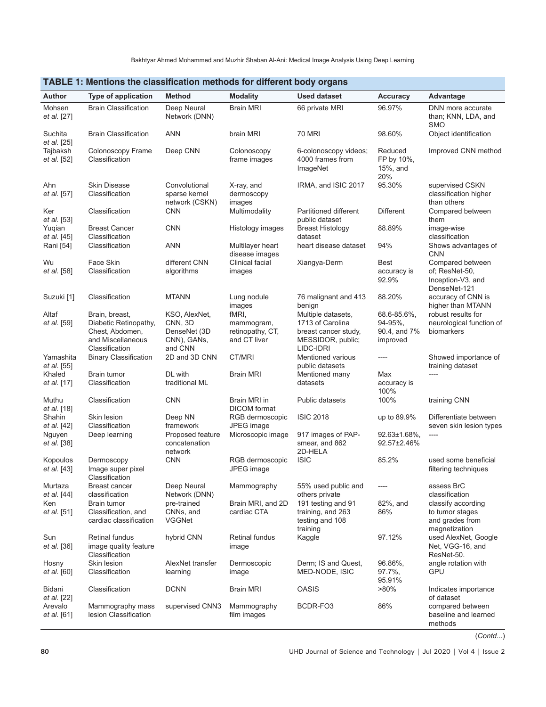| בווסטון וויידיוס וואס איז א א האטוויסטוויט וויידיוס א האטוויסט וויידיוס א האטוויסט וויידיוס א האטוויסט וויידי |                                                                                                   |                                                                     |                                                         |                                                                                                  |                                                    |                                                                           |  |
|---------------------------------------------------------------------------------------------------------------|---------------------------------------------------------------------------------------------------|---------------------------------------------------------------------|---------------------------------------------------------|--------------------------------------------------------------------------------------------------|----------------------------------------------------|---------------------------------------------------------------------------|--|
| Author                                                                                                        | <b>Type of application</b>                                                                        | <b>Method</b>                                                       | <b>Modality</b>                                         | <b>Used dataset</b>                                                                              | <b>Accuracy</b>                                    | Advantage                                                                 |  |
| Mohsen<br>et al. [27]                                                                                         | <b>Brain Classification</b>                                                                       | Deep Neural<br>Network (DNN)                                        | <b>Brain MRI</b>                                        | 66 private MRI                                                                                   | 96.97%                                             | DNN more accurate<br>than; KNN, LDA, and<br>SMO                           |  |
| Suchita<br>et al. [25]                                                                                        | <b>Brain Classification</b>                                                                       | <b>ANN</b>                                                          | brain MRI                                               | 70 MRI                                                                                           | 98.60%                                             | Object identification                                                     |  |
| Tajbaksh<br>et al. [52]                                                                                       | Colonoscopy Frame<br>Classification                                                               | Deep CNN                                                            | Colonoscopy<br>frame images                             | 6-colonoscopy videos;<br>4000 frames from<br>ImageNet                                            | Reduced<br>FP by 10%,<br>15%, and<br>20%           | Improved CNN method                                                       |  |
| Ahn<br>et al. [57]                                                                                            | <b>Skin Disease</b><br>Classification                                                             | Convolutional<br>sparse kernel<br>network (CSKN)                    | X-ray, and<br>dermoscopy<br>images                      | IRMA, and ISIC 2017                                                                              | 95.30%                                             | supervised CSKN<br>classification higher<br>than others                   |  |
| Ker<br>et al. [53]                                                                                            | Classification                                                                                    | <b>CNN</b>                                                          | Multimodality                                           | Partitioned different<br>public dataset                                                          | <b>Different</b>                                   | Compared between<br>them                                                  |  |
| Yuqian<br><i>et al.</i> [45]                                                                                  | <b>Breast Cancer</b><br>Classification                                                            | <b>CNN</b>                                                          | Histology images                                        | <b>Breast Histology</b><br>dataset                                                               | 88.89%                                             | image-wise<br>classification                                              |  |
| Rani [54]                                                                                                     | Classification                                                                                    | <b>ANN</b>                                                          | Multilayer heart<br>disease images                      | heart disease dataset                                                                            | 94%                                                | Shows advantages of<br><b>CNN</b>                                         |  |
| Wu<br>et al. [58]                                                                                             | Face Skin<br>Classification                                                                       | different CNN<br>algorithms                                         | Clinical facial<br>images                               | Xiangya-Derm                                                                                     | Best<br>accuracy is<br>92.9%                       | Compared between<br>of; ResNet-50,<br>Inception-V3, and<br>DenseNet-121   |  |
| Suzuki [1]                                                                                                    | Classification                                                                                    | <b>MTANN</b>                                                        | Lung nodule<br>images                                   | 76 malignant and 413<br>benign                                                                   | 88.20%                                             | accuracy of CNN is<br>higher than MTANN                                   |  |
| Altaf<br>et al. [59]                                                                                          | Brain, breast,<br>Diabetic Retinopathy,<br>Chest, Abdomen,<br>and Miscellaneous<br>Classification | KSO, AlexNet,<br>CNN, 3D<br>DenseNet (3D)<br>CNN), GANs,<br>and CNN | fMRI,<br>mammogram,<br>retinopathy, CT,<br>and CT liver | Multiple datasets,<br>1713 of Carolina<br>breast cancer study,<br>MESSIDOR, public;<br>LIDC-IDRI | 68.6-85.6%,<br>94-95%,<br>90.4, and 7%<br>improved | robust results for<br>neurological function of<br>biomarkers              |  |
| Yamashita<br><i>et al.</i> [55]                                                                               | <b>Binary Classification</b>                                                                      | 2D and 3D CNN                                                       | CT/MRI                                                  | Mentioned various<br>public datasets                                                             | ----                                               | Showed importance of<br>training dataset                                  |  |
| Khaled<br>et al. [17]                                                                                         | Brain tumor<br>Classification                                                                     | DL with<br>traditional ML                                           | <b>Brain MRI</b>                                        | Mentioned many<br>datasets                                                                       | Max<br>accuracy is<br>100%                         | $---$                                                                     |  |
| Muthu<br><i>et al.</i> [18]                                                                                   | Classification                                                                                    | <b>CNN</b>                                                          | Brain MRI in<br><b>DICOM</b> format                     | Public datasets                                                                                  | 100%                                               | training CNN                                                              |  |
| Shahin<br>et al. [42]                                                                                         | Skin lesion<br>Classification                                                                     | Deep NN<br>framework                                                | RGB dermoscopic<br>JPEG image                           | <b>ISIC 2018</b>                                                                                 | up to 89.9%                                        | Differentiate between<br>seven skin lesion types                          |  |
| Nguyen<br>et al. [38]                                                                                         | Deep learning                                                                                     | Proposed feature<br>concatenation<br>network                        | Microscopic image                                       | 917 images of PAP-<br>smear, and 862<br>2D-HELA                                                  | 92.63±1.68%,<br>92.57±2.46%                        | ----                                                                      |  |
| Kopoulos<br>et al. [43]                                                                                       | Dermoscopy<br>Image super pixel<br>Classification                                                 | <b>CNN</b>                                                          | RGB dermoscopic<br>JPEG image                           | <b>ISIC</b>                                                                                      | 85.2%                                              | used some beneficial<br>filtering techniques                              |  |
| Murtaza<br>et al. [44]                                                                                        | Breast cancer<br>classification                                                                   | Deep Neural<br>Network (DNN)                                        | Mammography                                             | 55% used public and<br>others private                                                            | ----                                               | assess BrC<br>classification                                              |  |
| Ken<br>et al. [51]                                                                                            | Brain tumor<br>Classification, and<br>cardiac classification                                      | pre-trained<br>CNNs, and<br><b>VGGNet</b>                           | Brain MRI, and 2D<br>cardiac CTA                        | 191 testing and 91<br>training, and 263<br>testing and 108<br>training                           | 82%, and<br>86%                                    | classify according<br>to tumor stages<br>and grades from<br>magnetization |  |
| Sun<br>et al. [36]                                                                                            | Retinal fundus<br>image quality feature<br>Classification                                         | hybrid CNN                                                          | Retinal fundus<br>image                                 | Kaggle                                                                                           | 97.12%                                             | used AlexNet, Google<br>Net, VGG-16, and<br>ResNet-50.                    |  |
| Hosny<br>et al. [60]                                                                                          | Skin lesion<br>Classification                                                                     | AlexNet transfer<br>learning                                        | Dermoscopic<br>image                                    | Derm; IS and Quest,<br>MED-NODE, ISIC                                                            | 96.86%,<br>97.7%,<br>95.91%                        | angle rotation with<br>GPU                                                |  |
| Bidani<br>et al. [22]                                                                                         | Classification                                                                                    | <b>DCNN</b>                                                         | <b>Brain MRI</b>                                        | <b>OASIS</b>                                                                                     | $>80\%$                                            | Indicates importance<br>of dataset                                        |  |
| Arevalo<br>et al. [61]                                                                                        | Mammography mass<br>lesion Classification                                                         | supervised CNN3                                                     | Mammography<br>film images                              | BCDR-FO3                                                                                         | 86%                                                | compared between<br>baseline and learned<br>methods                       |  |

#### **TABLE 1: Mentions the classification methods for different body organs**

(*Contd*...)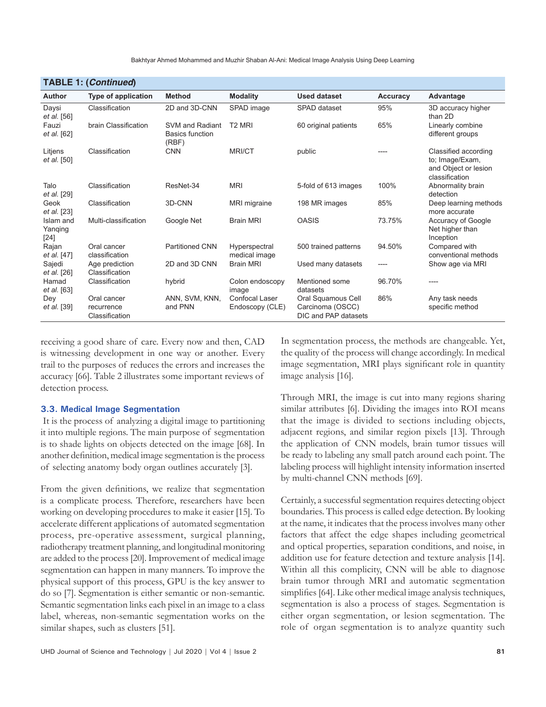| <b>TABLE 1: (Continued)</b>    |                                             |                                                    |                                          |                                                                |          |                                                                                   |  |  |
|--------------------------------|---------------------------------------------|----------------------------------------------------|------------------------------------------|----------------------------------------------------------------|----------|-----------------------------------------------------------------------------------|--|--|
| <b>Author</b>                  | <b>Type of application</b>                  | <b>Method</b>                                      | <b>Modality</b>                          | <b>Used dataset</b>                                            | Accuracy | Advantage                                                                         |  |  |
| Daysi<br>et al. [56]           | Classification                              | 2D and 3D-CNN                                      | SPAD image                               | SPAD dataset                                                   | 95%      | 3D accuracy higher<br>than 2D                                                     |  |  |
| Fauzi<br><i>et al.</i> [62]    | brain Classification                        | SVM and Radiant<br><b>Basics function</b><br>(RBF) | T <sub>2</sub> MRI                       | 60 original patients                                           | 65%      | Linearly combine<br>different groups                                              |  |  |
| Litjens<br>et al. [50]         | Classification                              | <b>CNN</b>                                         | <b>MRI/CT</b>                            | public                                                         | ----     | Classified according<br>to; Image/Exam,<br>and Object or lesion<br>classification |  |  |
| Talo<br>et al. [29]            | Classification                              | ResNet-34                                          | <b>MRI</b>                               | 5-fold of 613 images                                           | 100%     | Abnormality brain<br>detection                                                    |  |  |
| Geok<br>et al. [23]            | Classification                              | 3D-CNN                                             | MRI migraine                             | 198 MR images                                                  | 85%      | Deep learning methods<br>more accurate                                            |  |  |
| Islam and<br>Yanqing<br>$[24]$ | Multi-classification                        | Google Net                                         | <b>Brain MRI</b>                         | <b>OASIS</b>                                                   | 73.75%   | Accuracy of Google<br>Net higher than<br>Inception                                |  |  |
| Rajan<br>et al. [47]           | Oral cancer<br>classification               | <b>Partitioned CNN</b>                             | Hyperspectral<br>medical image           | 500 trained patterns                                           | 94.50%   | Compared with<br>conventional methods                                             |  |  |
| Sajedi<br><i>et al.</i> [26]   | Age prediction<br>Classification            | 2D and 3D CNN                                      | <b>Brain MRI</b>                         | Used many datasets                                             | ----     | Show age via MRI                                                                  |  |  |
| Hamad<br><i>et al.</i> [63]    | Classification                              | hybrid                                             | Colon endoscopy<br>image                 | Mentioned some<br>datasets                                     | 96.70%   | ----                                                                              |  |  |
| Dey<br><i>et al.</i> [39]      | Oral cancer<br>recurrence<br>Classification | ANN, SVM, KNN,<br>and PNN                          | <b>Confocal Laser</b><br>Endoscopy (CLE) | Oral Squamous Cell<br>Carcinoma (OSCC)<br>DIC and PAP datasets | 86%      | Any task needs<br>specific method                                                 |  |  |

receiving a good share of care. Every now and then, CAD is witnessing development in one way or another. Every trail to the purposes of reduces the errors and increases the accuracy [66]. Table 2 illustrates some important reviews of detection process.

#### **3.3. Medical Image Segmentation**

 It is the process of analyzing a digital image to partitioning it into multiple regions. The main purpose of segmentation is to shade lights on objects detected on the image [68]. In another definition, medical image segmentation is the process of selecting anatomy body organ outlines accurately [3].

From the given definitions, we realize that segmentation is a complicate process. Therefore, researchers have been working on developing procedures to make it easier [15]. To accelerate different applications of automated segmentation process, pre-operative assessment, surgical planning, radiotherapy treatment planning, and longitudinal monitoring are added to the process [20]. Improvement of medical image segmentation can happen in many manners. To improve the physical support of this process, GPU is the key answer to do so [7]. Segmentation is either semantic or non-semantic. Semantic segmentation links each pixel in an image to a class label, whereas, non-semantic segmentation works on the similar shapes, such as clusters [51].

In segmentation process, the methods are changeable. Yet, the quality of the process will change accordingly. In medical image segmentation, MRI plays significant role in quantity image analysis [16].

Through MRI, the image is cut into many regions sharing similar attributes [6]. Dividing the images into ROI means that the image is divided to sections including objects, adjacent regions, and similar region pixels [13]. Through the application of CNN models, brain tumor tissues will be ready to labeling any small patch around each point. The labeling process will highlight intensity information inserted by multi-channel CNN methods [69].

Certainly, a successful segmentation requires detecting object boundaries. This process is called edge detection. By looking at the name, it indicates that the process involves many other factors that affect the edge shapes including geometrical and optical properties, separation conditions, and noise, in addition use for feature detection and texture analysis [14]. Within all this complicity, CNN will be able to diagnose brain tumor through MRI and automatic segmentation simplifies [64]. Like other medical image analysis techniques, segmentation is also a process of stages. Segmentation is either organ segmentation, or lesion segmentation. The role of organ segmentation is to analyze quantity such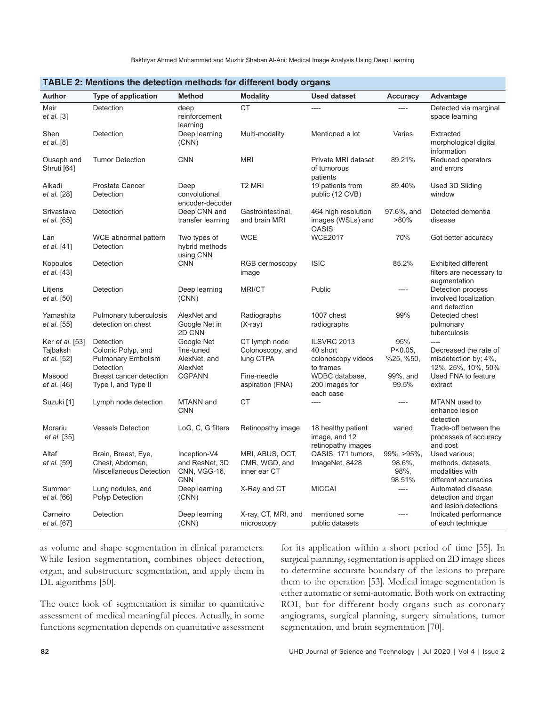|                                                   | בב ב. ואסותוסווס מוס טסוסטמטוו וווסמוטטס וטר טוווסרטות גוטעץ טראָמווס     |                                                              |                                                  |                                                            |                                                |                                                                                                 |  |  |
|---------------------------------------------------|---------------------------------------------------------------------------|--------------------------------------------------------------|--------------------------------------------------|------------------------------------------------------------|------------------------------------------------|-------------------------------------------------------------------------------------------------|--|--|
| Author                                            | Type of application                                                       | <b>Method</b>                                                | <b>Modality</b>                                  | Used dataset                                               | Accuracy                                       | <b>Advantage</b>                                                                                |  |  |
| Mair<br><i>et al.</i> [3]                         | Detection                                                                 | deep<br>reinforcement<br>learning                            | <b>CT</b>                                        | ----                                                       | $---$                                          | Detected via marginal<br>space learning                                                         |  |  |
| Shen<br><i>et al.</i> [8]                         | Detection                                                                 | Deep learning<br>(CNN)                                       | Multi-modality                                   | Mentioned a lot                                            | Varies                                         | Extracted<br>morphological digital<br>information                                               |  |  |
| Ouseph and<br>Shruti [64]                         | <b>Tumor Detection</b>                                                    | <b>CNN</b>                                                   | <b>MRI</b>                                       | Private MRI dataset<br>of tumorous<br>patients             | 89.21%                                         | Reduced operators<br>and errors                                                                 |  |  |
| Alkadi<br>et al. [28]                             | <b>Prostate Cancer</b><br>Detection                                       | Deep<br>convolutional<br>encoder-decoder                     | T <sub>2</sub> MRI                               | 19 patients from<br>public (12 CVB)                        | 89.40%                                         | Used 3D Sliding<br>window                                                                       |  |  |
| Srivastava<br><i>et al.</i> [65]                  | Detection                                                                 | Deep CNN and<br>transfer learning                            | Gastrointestinal,<br>and brain MRI               | 464 high resolution<br>images (WSLs) and<br><b>OASIS</b>   | 97.6%, and<br>$>80\%$                          | Detected dementia<br>disease                                                                    |  |  |
| Lan<br>et al. [41]                                | WCE abnormal pattern<br>Detection                                         | Two types of<br>hybrid methods<br>using CNN                  | <b>WCE</b>                                       | <b>WCE2017</b>                                             | 70%                                            | Got better accuracy                                                                             |  |  |
| Kopoulos<br>et al. [43]                           | Detection                                                                 | <b>CNN</b>                                                   | RGB dermoscopy<br>image                          | <b>ISIC</b>                                                | 85.2%                                          | <b>Exhibited different</b><br>filters are necessary to<br>augmentation                          |  |  |
| Litjens<br><i>et al.</i> [50]                     | Detection                                                                 | Deep learning<br>(CNN)                                       | <b>MRI/CT</b>                                    | Public                                                     | ----                                           | Detection process<br>involved localization<br>and detection                                     |  |  |
| Yamashita<br>et al. [55]                          | Pulmonary tuberculosis<br>detection on chest                              | AlexNet and<br>Google Net in<br>2D CNN                       | Radiographs<br>$(X-ray)$                         | 1007 chest<br>radiographs                                  | 99%                                            | Detected chest<br>pulmonary<br>tuberculosis                                                     |  |  |
| Ker <i>et al.</i> [53]<br>Tajbaksh<br>et al. [52] | Detection<br>Colonic Polyp, and<br><b>Pulmonary Embolism</b><br>Detection | Google Net<br>fine-tuned<br>AlexNet, and<br>AlexNet          | CT lymph node<br>Colonoscopy, and<br>lung CTPA   | ILSVRC 2013<br>40 short<br>colonoscopy videos<br>to frames | 95%<br>$P < 0.05$ ,<br>%25, %50,               | $\overline{\phantom{a}}$<br>Decreased the rate of<br>misdetection by; 4%,<br>12%, 25%, 10%, 50% |  |  |
| Masood<br>et al. [46]                             | Breast cancer detection<br>Type I, and Type II                            | <b>CGPANN</b>                                                | Fine-needle<br>aspiration (FNA)                  | WDBC database,<br>200 images for<br>each case              | 99%, and<br>99.5%                              | Used FNA to feature<br>extract                                                                  |  |  |
| Suzuki [1]                                        | Lymph node detection                                                      | MTANN and<br><b>CNN</b>                                      | СT                                               | ----                                                       | ----                                           | MTANN used to<br>enhance lesion<br>detection                                                    |  |  |
| Morariu<br><i>et al.</i> [35]                     | <b>Vessels Detection</b>                                                  | LoG, C, G filters                                            | Retinopathy image                                | 18 healthy patient<br>image, and 12<br>retinopathy images  | varied                                         | Trade-off between the<br>processes of accuracy<br>and cost                                      |  |  |
| Altaf<br>et al. [59]                              | Brain, Breast, Eye,<br>Chest, Abdomen,<br>Miscellaneous Detection         | Inception-V4<br>and ResNet, 3D<br>CNN, VGG-16,<br><b>CNN</b> | MRI, ABUS, OCT,<br>CMR, WGD, and<br>inner ear CT | OASIS, 171 tumors,<br>ImageNet, 8428                       | $99\%$ , $>95\%$ ,<br>98.6%,<br>98%,<br>98.51% | Used various;<br>methods, datasets,<br>modalities with<br>different accuracies                  |  |  |
| Summer<br>et al. [66]                             | Lung nodules, and<br>Polyp Detection                                      | Deep learning<br>(CNN)                                       | X-Ray and CT                                     | <b>MICCAI</b>                                              | $---$                                          | Automated disease<br>detection and organ<br>and lesion detections                               |  |  |
| Carneiro<br>et al. [67]                           | Detection                                                                 | Deep learning<br>(CNN)                                       | X-ray, CT, MRI, and<br>microscopy                | mentioned some<br>public datasets                          | $---$                                          | Indicated performance<br>of each technique                                                      |  |  |

#### **TABLE 2: Mentions the detection methods for different body organs**

as volume and shape segmentation in clinical parameters. While lesion segmentation, combines object detection, organ, and substructure segmentation, and apply them in DL algorithms [50].

The outer look of segmentation is similar to quantitative assessment of medical meaningful pieces. Actually, in some functions segmentation depends on quantitative assessment for its application within a short period of time [55]. In surgical planning, segmentation is applied on 2D image slices to determine accurate boundary of the lesions to prepare them to the operation [53]. Medical image segmentation is either automatic or semi-automatic. Both work on extracting ROI, but for different body organs such as coronary angiograms, surgical planning, surgery simulations, tumor segmentation, and brain segmentation [70].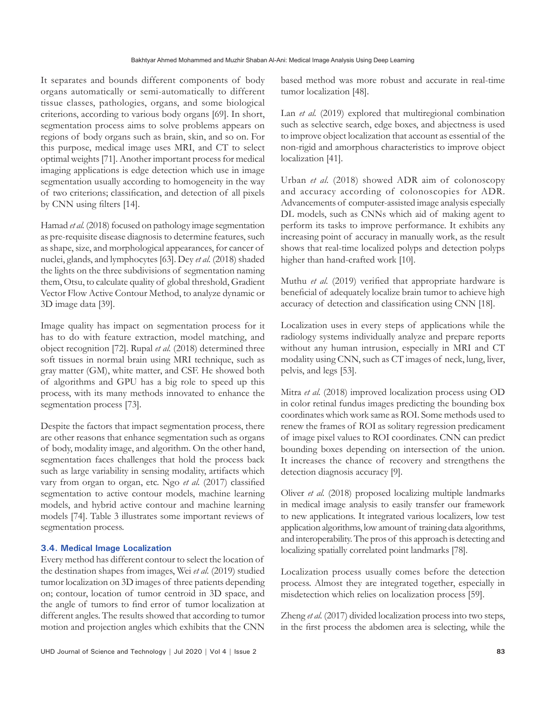It separates and bounds different components of body organs automatically or semi-automatically to different tissue classes, pathologies, organs, and some biological criterions, according to various body organs [69]. In short, segmentation process aims to solve problems appears on regions of body organs such as brain, skin, and so on. For this purpose, medical image uses MRI, and CT to select optimal weights [71]. Another important process for medical imaging applications is edge detection which use in image segmentation usually according to homogeneity in the way of two criterions; classification, and detection of all pixels by CNN using filters [14].

Hamad *et al.* (2018) focused on pathology image segmentation as pre-requisite disease diagnosis to determine features, such as shape, size, and morphological appearances, for cancer of nuclei, glands, and lymphocytes [63]. Dey *et al.* (2018) shaded the lights on the three subdivisions of segmentation naming them, Otsu, to calculate quality of global threshold, Gradient Vector Flow Active Contour Method, to analyze dynamic or 3D image data [39].

Image quality has impact on segmentation process for it has to do with feature extraction, model matching, and object recognition [72]. Rupal *et al.* (2018) determined three soft tissues in normal brain using MRI technique, such as gray matter (GM), white matter, and CSF. He showed both of algorithms and GPU has a big role to speed up this process, with its many methods innovated to enhance the segmentation process [73].

Despite the factors that impact segmentation process, there are other reasons that enhance segmentation such as organs of body, modality image, and algorithm. On the other hand, segmentation faces challenges that hold the process back such as large variability in sensing modality, artifacts which vary from organ to organ, etc. Ngo *et al.* (2017) classified segmentation to active contour models, machine learning models, and hybrid active contour and machine learning models [74]. Table 3 illustrates some important reviews of segmentation process.

#### **3.4. Medical Image Localization**

Every method has different contour to select the location of the destination shapes from images, Wei *et al.* (2019) studied tumor localization on 3D images of three patients depending on; contour, location of tumor centroid in 3D space, and the angle of tumors to find error of tumor localization at different angles. The results showed that according to tumor motion and projection angles which exhibits that the CNN based method was more robust and accurate in real-time tumor localization [48].

Lan *et al.* (2019) explored that multiregional combination such as selective search, edge boxes, and abjectness is used to improve object localization that account as essential of the non-rigid and amorphous characteristics to improve object localization [41].

Urban *et al.* (2018) showed ADR aim of colonoscopy and accuracy according of colonoscopies for ADR. Advancements of computer-assisted image analysis especially DL models, such as CNNs which aid of making agent to perform its tasks to improve performance. It exhibits any increasing point of accuracy in manually work, as the result shows that real-time localized polyps and detection polyps higher than hand-crafted work [10].

Muthu *et al.* (2019) verified that appropriate hardware is beneficial of adequately localize brain tumor to achieve high accuracy of detection and classification using CNN [18].

Localization uses in every steps of applications while the radiology systems individually analyze and prepare reports without any human intrusion, especially in MRI and CT modality using CNN, such as CT images of neck, lung, liver, pelvis, and legs [53].

Mitra *et al.* (2018) improved localization process using OD in color retinal fundus images predicting the bounding box coordinates which work same as ROI. Some methods used to renew the frames of ROI as solitary regression predicament of image pixel values to ROI coordinates. CNN can predict bounding boxes depending on intersection of the union. It increases the chance of recovery and strengthens the detection diagnosis accuracy [9].

Oliver *et al.* (2018) proposed localizing multiple landmarks in medical image analysis to easily transfer our framework to new applications. It integrated various localizers, low test application algorithms, low amount of training data algorithms, and interoperability. The pros of this approach is detecting and localizing spatially correlated point landmarks [78].

Localization process usually comes before the detection process. Almost they are integrated together, especially in misdetection which relies on localization process [59].

Zheng *et al.* (2017) divided localization process into two steps, in the first process the abdomen area is selecting, while the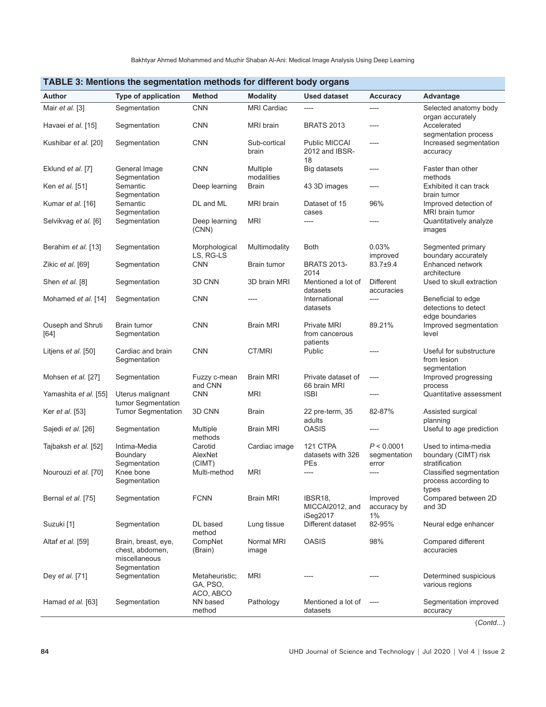| <b>I ADLE 5: Memoris the segmentation methods for different body organs</b> |                                                                         |                                         |                        |                                             |                                     |                                                                |  |  |
|-----------------------------------------------------------------------------|-------------------------------------------------------------------------|-----------------------------------------|------------------------|---------------------------------------------|-------------------------------------|----------------------------------------------------------------|--|--|
| <b>Author</b>                                                               | <b>Type of application</b>                                              | <b>Method</b>                           | <b>Modality</b>        | <b>Used dataset</b>                         | <b>Accuracy</b>                     | Advantage                                                      |  |  |
| Mair et al. [3]                                                             | Segmentation                                                            | <b>CNN</b>                              | <b>MRI Cardiac</b>     | ----                                        | ----                                | Selected anatomy body<br>organ accurately                      |  |  |
| Havaei et al. [15]                                                          | Segmentation                                                            | <b>CNN</b>                              | MRI brain              | <b>BRATS 2013</b>                           | ----                                | Accelerated<br>segmentation process                            |  |  |
| Kushibar et al. [20]                                                        | Segmentation                                                            | <b>CNN</b>                              | Sub-cortical<br>brain  | Public MICCAI<br>2012 and IBSR-<br>18       | ----                                | Increased segmentation<br>accuracy                             |  |  |
| Eklund et al. [7]                                                           | General Image<br>Segmentation                                           | <b>CNN</b>                              | Multiple<br>modalities | Big datasets                                | $---$                               | Faster than other<br>methods                                   |  |  |
| Ken et al. [51]                                                             | Semantic<br>Segmentation                                                | Deep learning                           | <b>Brain</b>           | 43 3D images                                | ----                                | Exhibited it can track<br>brain tumor                          |  |  |
| Kumar et al. [16]                                                           | Semantic<br>Segmentation                                                | DL and ML                               | <b>MRI</b> brain       | Dataset of 15<br>cases                      | 96%                                 | Improved detection of<br>MRI brain tumor                       |  |  |
| Selvikvag et al. [6]                                                        | Segmentation                                                            | Deep learning<br>(CNN)                  | <b>MRI</b>             | ----                                        | ----                                | Quantitatively analyze<br>images                               |  |  |
| Berahim et al. [13]                                                         | Segmentation                                                            | Morphological<br>LS, RG-LS              | Multimodality          | <b>Both</b>                                 | 0.03%<br>improved                   | Segmented primary<br>boundary accurately                       |  |  |
| Zikic et al. [69]                                                           | Segmentation                                                            | <b>CNN</b>                              | Brain tumor            | <b>BRATS 2013-</b><br>2014                  | 83.7±9.4                            | Enhanced network<br>architecture                               |  |  |
| Shen <i>et al.</i> [8]                                                      | Segmentation                                                            | 3D CNN                                  | 3D brain MRI           | Mentioned a lot of<br>datasets              | <b>Different</b><br>accuracies      | Used to skull extraction                                       |  |  |
| Mohamed et al. [14]                                                         | Segmentation                                                            | <b>CNN</b>                              | ----                   | International<br>datasets                   | ----                                | Beneficial to edge<br>detections to detect<br>edge boundaries  |  |  |
| Ouseph and Shruti<br>[64]                                                   | Brain tumor<br>Segmentation                                             | <b>CNN</b>                              | <b>Brain MRI</b>       | Private MRI<br>from cancerous<br>patients   | 89.21%                              | Improved segmentation<br>level                                 |  |  |
| Litjens <i>et al.</i> [50]                                                  | Cardiac and brain<br>Segmentation                                       | <b>CNN</b>                              | CT/MRI                 | Public                                      | $---$                               | Useful for substructure<br>from lesion<br>segmentation         |  |  |
| Mohsen et al. [27]                                                          | Segmentation                                                            | Fuzzy c-mean<br>and CNN                 | <b>Brain MRI</b>       | Private dataset of<br>66 brain MRI          | $-----$                             | Improved progressing<br>process                                |  |  |
| Yamashita <i>et al.</i> [55]                                                | Uterus malignant<br>tumor Segmentation                                  | <b>CNN</b>                              | <b>MRI</b>             | <b>ISBI</b>                                 | ----                                | Quantitative assessment                                        |  |  |
| Ker <i>et al.</i> [53]                                                      | <b>Tumor Segmentation</b>                                               | 3D CNN                                  | Brain                  | 22 pre-term, 35<br>adults                   | 82-87%                              | Assisted surgical<br>planning                                  |  |  |
| Sajedi et al. [26]                                                          | Segmentation                                                            | Multiple<br>methods                     | <b>Brain MRI</b>       | <b>OASIS</b>                                | ----                                | Useful to age prediction                                       |  |  |
| Tajbaksh et al. [52]                                                        | Intima-Media<br>Boundary<br>Segmentation                                | Carotid<br>AlexNet<br>(CIMT)            | Cardiac image          | 121 CTPA<br>datasets with 326<br><b>PEs</b> | P < 0.0001<br>segmentation<br>error | Used to intima-media<br>boundary (CIMT) risk<br>stratification |  |  |
| Nourouzi et al. [70]                                                        | Knee bone<br>Segmentation                                               | Multi-method                            | <b>MRI</b>             | ----                                        | ----                                | Classified segmentation<br>process according to<br>types       |  |  |
| Bernal et al. [75]                                                          | Segmentation                                                            | <b>FCNN</b>                             | <b>Brain MRI</b>       | IBSR18,<br>MICCAI2012, and<br>iSeg2017      | Improved<br>accuracy by<br>$1\%$    | Compared between 2D<br>and 3D                                  |  |  |
| Suzuki [1]                                                                  | Segmentation                                                            | DL based<br>method                      | Lung tissue            | Different dataset                           | 82-95%                              | Neural edge enhancer                                           |  |  |
| Altaf et al. [59]                                                           | Brain, breast, eye,<br>chest, abdomen,<br>miscellaneous<br>Segmentation | CompNet<br>(Brain)                      | Normal MRI<br>image    | <b>OASIS</b>                                | 98%                                 | Compared different<br>accuracies                               |  |  |
| Dey et al. [71]                                                             | Segmentation                                                            | Metaheuristic;<br>GA, PSO,<br>ACO, ABCO | <b>MRI</b>             |                                             |                                     | Determined suspicious<br>various regions                       |  |  |
| Hamad et al. [63]                                                           | Segmentation                                                            | NN based<br>method                      | Pathology              | Mentioned a lot of<br>datasets              | $---$                               | Segmentation improved<br>accuracy                              |  |  |

# **TABLE 3: Mentions the segmentation methods for different body organs**

(*Contd*...)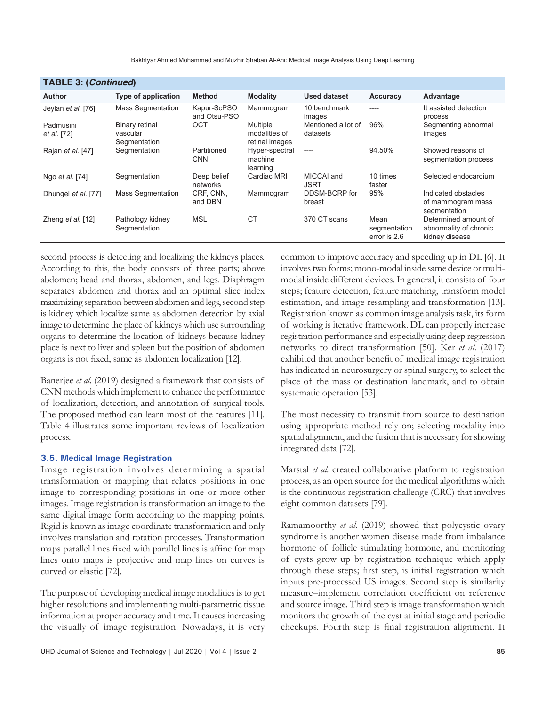| <b>I ADLE J. (COMMITMED)</b> |                                            |                             |                                             |                                |                                      |                                                                  |  |  |
|------------------------------|--------------------------------------------|-----------------------------|---------------------------------------------|--------------------------------|--------------------------------------|------------------------------------------------------------------|--|--|
| <b>Author</b>                | <b>Type of application</b>                 | <b>Method</b>               | <b>Modality</b>                             | <b>Used dataset</b>            | Accuracy                             | Advantage                                                        |  |  |
| Jeylan et al. [76]           | <b>Mass Segmentation</b>                   | Kapur-ScPSO<br>and Otsu-PSO | Mammogram                                   | 10 benchmark<br>images         | ----                                 | It assisted detection<br>process                                 |  |  |
| Padmusini<br>et al. [72]     | Binary retinal<br>vascular<br>Segmentation | OCT                         | Multiple<br>modalities of<br>retinal images | Mentioned a lot of<br>datasets | 96%                                  | Segmenting abnormal<br>images                                    |  |  |
| Rajan <i>et al.</i> [47]     | Segmentation                               | Partitioned<br><b>CNN</b>   | Hyper-spectral<br>machine<br>learning       | $---$                          | 94.50%                               | Showed reasons of<br>segmentation process                        |  |  |
| Ngo <i>et al.</i> [74]       | Segmentation                               | Deep belief<br>networks     | Cardiac MRI                                 | MICCAI and<br><b>JSRT</b>      | 10 times<br>faster                   | Selected endocardium                                             |  |  |
| Dhungel et al. [77]          | <b>Mass Segmentation</b>                   | CRF, CNN,<br>and DBN        | Mammogram                                   | DDSM-BCRP for<br>breast        | 95%                                  | Indicated obstacles<br>of mammogram mass<br>segmentation         |  |  |
| Zheng et al. $[12]$          | Pathology kidney<br>Segmentation           | <b>MSL</b>                  | <b>CT</b>                                   | 370 CT scans                   | Mean<br>segmentation<br>error is 2.6 | Determined amount of<br>abnormality of chronic<br>kidney disease |  |  |

## **TABLE 3: (***Continued***)**

second process is detecting and localizing the kidneys places. According to this, the body consists of three parts; above abdomen; head and thorax, abdomen, and legs. Diaphragm separates abdomen and thorax and an optimal slice index maximizing separation between abdomen and legs, second step is kidney which localize same as abdomen detection by axial image to determine the place of kidneys which use surrounding organs to determine the location of kidneys because kidney place is next to liver and spleen but the position of abdomen organs is not fixed, same as abdomen localization [12].

Banerjee *et al.* (2019) designed a framework that consists of CNN methods which implement to enhance the performance of localization, detection, and annotation of surgical tools. The proposed method can learn most of the features [11]. Table 4 illustrates some important reviews of localization process.

#### **3.5. Medical Image Registration**

Image registration involves determining a spatial transformation or mapping that relates positions in one image to corresponding positions in one or more other images. Image registration is transformation an image to the same digital image form according to the mapping points. Rigid is known as image coordinate transformation and only involves translation and rotation processes. Transformation maps parallel lines fixed with parallel lines is affine for map lines onto maps is projective and map lines on curves is curved or elastic [72].

The purpose of developing medical image modalities is to get higher resolutions and implementing multi-parametric tissue information at proper accuracy and time. It causes increasing the visually of image registration. Nowadays, it is very

common to improve accuracy and speeding up in DL [6]. It involves two forms; mono-modal inside same device or multimodal inside different devices. In general, it consists of four steps; feature detection, feature matching, transform model estimation, and image resampling and transformation [13]. Registration known as common image analysis task, its form of working is iterative framework. DL can properly increase registration performance and especially using deep regression networks to direct transformation [50]. Ker *et al.* (2017) exhibited that another benefit of medical image registration has indicated in neurosurgery or spinal surgery, to select the place of the mass or destination landmark, and to obtain systematic operation [53].

The most necessity to transmit from source to destination using appropriate method rely on; selecting modality into spatial alignment, and the fusion that is necessary for showing integrated data [72].

Marstal *et al.* created collaborative platform to registration process, as an open source for the medical algorithms which is the continuous registration challenge (CRC) that involves eight common datasets [79].

Ramamoorthy *et al.* (2019) showed that polycystic ovary syndrome is another women disease made from imbalance hormone of follicle stimulating hormone, and monitoring of cysts grow up by registration technique which apply through these steps; first step, is initial registration which inputs pre-processed US images. Second step is similarity measure–implement correlation coefficient on reference and source image. Third step is image transformation which monitors the growth of the cyst at initial stage and periodic checkups. Fourth step is final registration alignment. It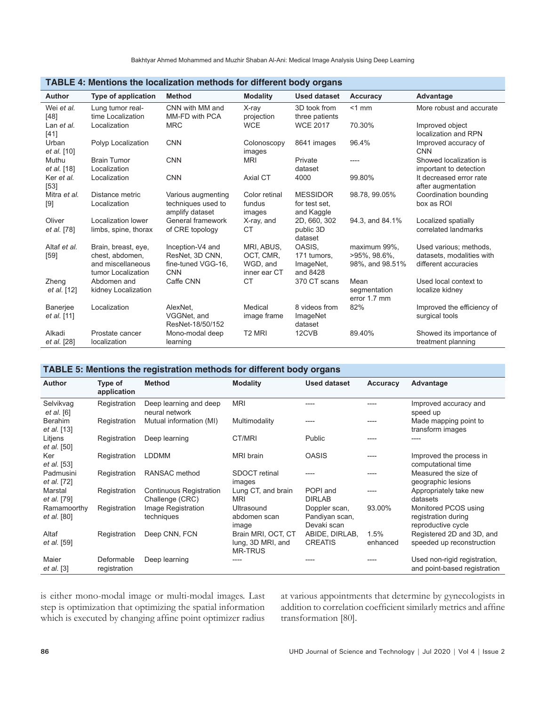| <b>Author</b>           | Type of application                                                               | <b>Method</b>                                                           | <b>Modality</b>                                     | <b>Used dataset</b>                            | <b>Accuracy</b>                                     | Advantage                                                                   |  |  |
|-------------------------|-----------------------------------------------------------------------------------|-------------------------------------------------------------------------|-----------------------------------------------------|------------------------------------------------|-----------------------------------------------------|-----------------------------------------------------------------------------|--|--|
| Wei et al.<br>[48]      | Lung tumor real-<br>time Localization                                             | CNN with MM and<br>MM-FD with PCA                                       | X-ray<br>projection                                 | 3D took from<br>three patients                 | $<$ 1 mm                                            | More robust and accurate                                                    |  |  |
| Lan et al.<br>$[41]$    | Localization                                                                      | <b>MRC</b>                                                              | <b>WCE</b>                                          | <b>WCE 2017</b>                                | 70.30%                                              | Improved object<br>localization and RPN                                     |  |  |
| Urban<br>et al. [10]    | Polyp Localization                                                                | <b>CNN</b>                                                              | Colonoscopy<br>images                               | 8641 images                                    | 96.4%                                               | Improved accuracy of<br><b>CNN</b>                                          |  |  |
| Muthu<br>et al. [18]    | <b>Brain Tumor</b><br>Localization                                                | <b>CNN</b>                                                              | <b>MRI</b>                                          | Private<br>dataset                             | ----                                                | Showed localization is<br>important to detection                            |  |  |
| Ker et al.<br>[53]      | Localization                                                                      | <b>CNN</b>                                                              | Axial CT                                            | 4000                                           | 99.80%                                              | It decreased error rate<br>after augmentation                               |  |  |
| Mitra et al.<br>[9]     | Distance metric<br>Localization                                                   | Various augmenting<br>techniques used to<br>amplify dataset             | Color retinal<br>fundus<br>images                   | <b>MESSIDOR</b><br>for test set,<br>and Kaggle | 98.78, 99.05%                                       | Coordination bounding<br>box as ROI                                         |  |  |
| Oliver<br>et al. [78]   | Localization lower<br>limbs, spine, thorax                                        | General framework<br>of CRE topology                                    | X-ray, and<br>СT                                    | 2D, 660, 302<br>public 3D<br>dataset           | 94.3, and 84.1%                                     | Localized spatially<br>correlated landmarks                                 |  |  |
| Altaf et al.<br>$[59]$  | Brain, breast, eye,<br>chest. abdomen.<br>and miscellaneous<br>tumor Localization | Inception-V4 and<br>ResNet, 3D CNN,<br>fine-tuned VGG-16,<br><b>CNN</b> | MRI. ABUS.<br>OCT, CMR,<br>WGD, and<br>inner ear CT | OASIS.<br>171 tumors.<br>ImageNet,<br>and 8428 | maximum 99%,<br>$>95\%$ , 98.6%,<br>98%, and 98.51% | Used various: methods.<br>datasets, modalities with<br>different accuracies |  |  |
| Zheng<br>et al. [12]    | Abdomen and<br>kidney Localization                                                | Caffe CNN                                                               | <b>CT</b>                                           | 370 CT scans                                   | Mean<br>segmentation<br>error 1.7 mm                | Used local context to<br>localize kidney                                    |  |  |
| Banerjee<br>et al. [11] | Localization                                                                      | AlexNet.<br>VGGNet, and<br>ResNet-18/50/152                             | Medical<br>image frame                              | 8 videos from<br>ImageNet<br>dataset           | 82%                                                 | Improved the efficiency of<br>surgical tools                                |  |  |
| Alkadi<br>et al. [28]   | Prostate cancer<br>localization                                                   | Mono-modal deep<br>learning                                             | T <sub>2</sub> MRI                                  | 12CVB                                          | 89.40%                                              | Showed its importance of<br>treatment planning                              |  |  |

#### **TABLE 4: Mentions the localization methods for different body organs**

#### **TABLE 5: Mentions the registration methods for different body organs**

| <b>Author</b>                 | Type of<br>application     | <b>Method</b>                                     | <b>Modality</b>                                           | <b>Used dataset</b>                            | Accuracy         | Advantage                                                         |
|-------------------------------|----------------------------|---------------------------------------------------|-----------------------------------------------------------|------------------------------------------------|------------------|-------------------------------------------------------------------|
| Selvikvag<br>et al. [6]       | Registration               | Deep learning and deep<br>neural network          | <b>MRI</b>                                                | ----                                           |                  | Improved accuracy and<br>speed up                                 |
| <b>Berahim</b><br>et al. [13] | Registration               | Mutual information (MI)                           | Multimodality                                             |                                                |                  | Made mapping point to<br>transform images                         |
| Litjens<br><i>et al.</i> [50] | Registration               | Deep learning                                     | CT/MRI                                                    | Public                                         |                  |                                                                   |
| Ker<br><i>et al.</i> [53]     | Registration               | <b>LDDMM</b>                                      | <b>MRI</b> brain                                          | <b>OASIS</b>                                   |                  | Improved the process in<br>computational time                     |
| Padmusini<br>et al. [72]      | Registration               | RANSAC method                                     | <b>SDOCT</b> retinal<br>images                            |                                                |                  | Measured the size of<br>geographic lesions                        |
| Marstal<br>et al. [79]        | Registration               | <b>Continuous Registration</b><br>Challenge (CRC) | Lung CT, and brain<br><b>MRI</b>                          | POPI and<br><b>DIRLAB</b>                      |                  | Appropriately take new<br>datasets                                |
| Ramamoorthy<br>et al. [80]    | Registration               | Image Registration<br>techniques                  | Ultrasound<br>abdomen scan<br>image                       | Doppler scan,<br>Pandiyan scan,<br>Devaki scan | 93.00%           | Monitored PCOS using<br>registration during<br>reproductive cycle |
| Altaf<br><i>et al.</i> [59]   | Registration               | Deep CNN, FCN                                     | Brain MRI, OCT, CT<br>lung, 3D MRI, and<br><b>MR-TRUS</b> | ABIDE, DIRLAB,<br><b>CREATIS</b>               | 1.5%<br>enhanced | Registered 2D and 3D, and<br>speeded up reconstruction            |
| Maier<br>et al. [3]           | Deformable<br>registration | Deep learning                                     |                                                           |                                                |                  | Used non-rigid registration,<br>and point-based registration      |

is either mono-modal image or multi-modal images. Last step is optimization that optimizing the spatial information which is executed by changing affine point optimizer radius

at various appointments that determine by gynecologists in addition to correlation coefficient similarly metrics and affine transformation [80].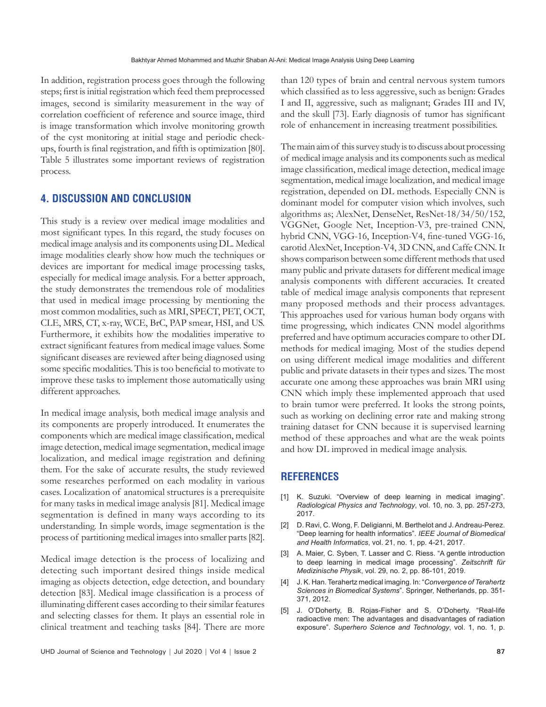In addition, registration process goes through the following steps; first is initial registration which feed them preprocessed images, second is similarity measurement in the way of correlation coefficient of reference and source image, third is image transformation which involve monitoring growth of the cyst monitoring at initial stage and periodic checkups, fourth is final registration, and fifth is optimization [80]. Table 5 illustrates some important reviews of registration process.

# **4. DISCUSSION AND CONCLUSION**

This study is a review over medical image modalities and most significant types. In this regard, the study focuses on medical image analysis and its components using DL. Medical image modalities clearly show how much the techniques or devices are important for medical image processing tasks, especially for medical image analysis. For a better approach, the study demonstrates the tremendous role of modalities that used in medical image processing by mentioning the most common modalities, such as MRI, SPECT, PET, OCT, CLE, MRS, CT, x-ray, WCE, BrC, PAP smear, HSI, and US. Furthermore, it exhibits how the modalities imperative to extract significant features from medical image values. Some significant diseases are reviewed after being diagnosed using some specific modalities. This is too beneficial to motivate to improve these tasks to implement those automatically using different approaches.

In medical image analysis, both medical image analysis and its components are properly introduced. It enumerates the components which are medical image classification, medical image detection, medical image segmentation, medical image localization, and medical image registration and defining them. For the sake of accurate results, the study reviewed some researches performed on each modality in various cases. Localization of anatomical structures is a prerequisite for many tasks in medical image analysis [81]. Medical image segmentation is defined in many ways according to its understanding. In simple words, image segmentation is the process of partitioning medical images into smaller parts [82].

Medical image detection is the process of localizing and detecting such important desired things inside medical imaging as objects detection, edge detection, and boundary detection [83]. Medical image classification is a process of illuminating different cases according to their similar features and selecting classes for them. It plays an essential role in clinical treatment and teaching tasks [84]. There are more

than 120 types of brain and central nervous system tumors which classified as to less aggressive, such as benign: Grades I and II, aggressive, such as malignant; Grades III and IV, and the skull [73]. Early diagnosis of tumor has significant role of enhancement in increasing treatment possibilities.

The main aim of this survey study is to discuss about processing of medical image analysis and its components such as medical image classification, medical image detection, medical image segmentation, medical image localization, and medical image registration, depended on DL methods. Especially CNN is dominant model for computer vision which involves, such algorithms as; AlexNet, DenseNet, ResNet-18/34/50/152, VGGNet, Google Net, Inception-V3, pre-trained CNN, hybrid CNN, VGG-16, Inception-V4, fine-tuned VGG-16, carotid AlexNet, Inception-V4, 3D CNN, and Caffe CNN. It shows comparison between some different methods that used many public and private datasets for different medical image analysis components with different accuracies. It created table of medical image analysis components that represent many proposed methods and their process advantages. This approaches used for various human body organs with time progressing, which indicates CNN model algorithms preferred and have optimum accuracies compare to other DL methods for medical imaging. Most of the studies depend on using different medical image modalities and different public and private datasets in their types and sizes. The most accurate one among these approaches was brain MRI using CNN which imply these implemented approach that used to brain tumor were preferred. It looks the strong points, such as working on declining error rate and making strong training dataset for CNN because it is supervised learning method of these approaches and what are the weak points and how DL improved in medical image analysis.

## **REFERENCES**

- K. Suzuki. "Overview of deep learning in medical imaging". *Radiological Physics and Technology*, vol. 10, no. 3, pp. 257-273, 2017.
- [2] D. Ravi, C. Wong, F. Deligianni, M. Berthelot and J. Andreau-Perez. "Deep learning for health informatics". *IEEE Journal of Biomedical and Health Informatics*, vol. 21, no. 1, pp. 4-21, 2017.
- [3] A. Maier, C. Syben, T. Lasser and C. Riess. "A gentle introduction to deep learning in medical image processing". *Zeitschrift für Medizinische Physik*, vol. 29, no. 2, pp. 86-101, 2019.
- [4] J. K. Han. Terahertz medical imaging. In: "*Convergence of Terahertz Sciences in Biomedical Systems*". Springer, Netherlands, pp. 351- 371, 2012.
- [5] J. O'Doherty, B. Rojas-Fisher and S. O'Doherty. "Real-life radioactive men: The advantages and disadvantages of radiation exposure". *Superhero Science and Technology*, vol. 1, no. 1, p.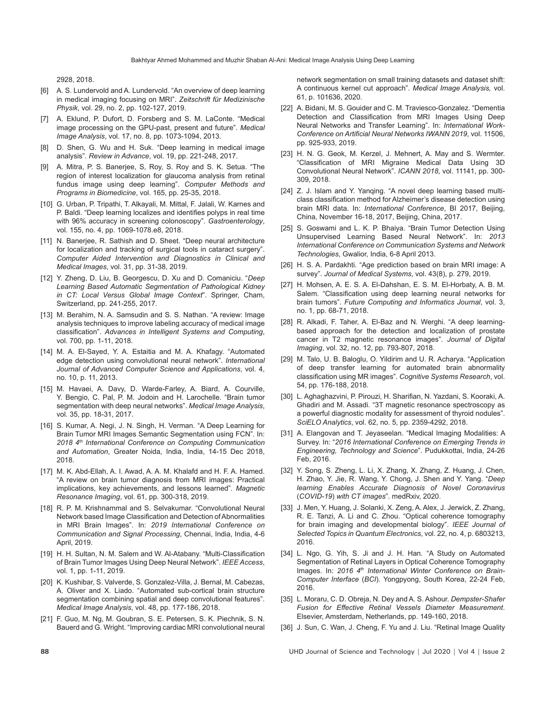2928, 2018.

- [6] A. S. Lundervold and A. Lundervold. "An overview of deep learning in medical imaging focusing on MRI". *Zeitschrift für Medizinische Physik*, vol. 29, no. 2, pp. 102-127, 2019.
- [7] A. Eklund, P. Dufort, D. Forsberg and S. M. LaConte. "Medical image processing on the GPU-past, present and future". *Medical Image Analysis*, vol. 17, no. 8, pp. 1073-1094, 2013.
- [8] D. Shen, G. Wu and H. Suk. "Deep learning in medical image analysis". *Review in Advance*, vol. 19, pp. 221-248, 2017.
- [9] A. Mitra, P. S. Banerjee, S, Roy, S. Roy and S. K. Setua. "The region of interest localization for glaucoma analysis from retinal fundus image using deep learning". *Computer Methods and Programs in Biomedicine*, vol. 165, pp. 25-35, 2018.
- [10] G. Urban, P. Tripathi, T. Alkayali, M. Mittal, F. Jalali, W. Karnes and P. Baldi. "Deep learning localizes and identifies polyps in real time with 96% accuracy in screening colonoscopy". *Gastroenterology*, vol. 155, no. 4, pp. 1069-1078.e8, 2018.
- [11] N. Banerjee, R. Sathish and D. Sheet. "Deep neural architecture for localization and tracking of surgical tools in cataract surgery". *Computer Aided Intervention and Diagnostics in Clinical and Medical Images*, vol. 31, pp. 31-38, 2019.
- [12] Y. Zheng, D. Liu, B. Georgescu, D. Xu and D. Comaniciu. "*Deep Learning Based Automatic Segmentation of Pathological Kidney in CT: Local Versus Global Image Context*". Springer, Cham, Switzerland, pp. 241-255, 2017.
- [13] M. Berahim, N. A. Samsudin and S. S. Nathan. "A review: Image analysis techniques to improve labeling accuracy of medical image classification". *Advances in Intelligent Systems and Computing*, vol. 700, pp. 1-11, 2018.
- [14] M. A. El-Sayed, Y. A. Estaitia and M. A. Khafagy. "Automated edge detection using convolutional neural network". *International Journal of Advanced Computer Science and Applications*, vol. 4, no. 10, p. 11, 2013.
- [15] M. Havaei, A. Davy, D. Warde-Farley, A. Biard, A. Courville, Y. Bengio, C. Pal, P. M. Jodoin and H. Larochelle. "Brain tumor segmentation with deep neural networks". *Medical Image Analysis*, vol. 35, pp. 18-31, 2017.
- [16] S. Kumar, A. Negi, J. N. Singh, H. Verman. "A Deep Learning for Brain Tumor MRI Images Semantic Segmentation using FCN". In: *2018 4th International Conference on Computing Communication and Automation*, Greater Noida, India, India, 14-15 Dec 2018, 2018.
- [17] M. K. Abd-Ellah, A. I. Awad, A. A. M. Khalafd and H. F. A. Hamed. "A review on brain tumor diagnosis from MRI images: Practical implications, key achievements, and lessons learned". *Magnetic Resonance Imaging*, vol. 61, pp. 300-318, 2019.
- [18] R. P. M. Krishnammal and S. Selvakumar. "Convolutional Neural Network based Image Classification and Detection of Abnormalities in MRI Brain Images". In: *2019 International Conference on Communication and Signal Processing*, Chennai, India, India, 4-6 April, 2019.
- [19] H. H. Sultan, N. M. Salem and W. Al-Atabany. "Multi-Classification of Brain Tumor Images Using Deep Neural Network". *IEEE Access*, vol. 1, pp. 1-11, 2019.
- [20] K. Kushibar, S. Valverde, S. Gonzalez-Villa, J. Bernal, M. Cabezas, A. Oliver and X. Liado. "Automated sub-cortical brain structure segmentation combining spatial and deep convolutional features". *Medical Image Analysis*, vol. 48, pp. 177-186, 2018.
- [21] F. Guo, M. Ng, M. Goubran, S. E. Petersen, S. K. Piechnik, S. N. Bauerd and G. Wright. "Improving cardiac MRI convolutional neural

network segmentation on small training datasets and dataset shift: A continuous kernel cut approach". *Medical Image Analysis,* vol. 61, p. 101636, 2020.

- [22] A. Bidani, M. S. Gouider and C. M. Traviesco-Gonzalez. "Dementia Detection and Classification from MRI Images Using Deep Neural Networks and Transfer Learning". In: *International Work-Conference on Artificial Neural Networks IWANN 2019*, vol. 11506, pp. 925-933, 2019.
- [23] H. N. G. Geok, M. Kerzel, J. Mehnert, A. May and S. Wermter. "Classification of MRI Migraine Medical Data Using 3D Convolutional Neural Network". *ICANN 2018*, vol. 11141, pp. 300- 309, 2018.
- [24] Z. J. Islam and Y. Yanging. "A novel deep learning based multiclass classification method for Alzheimer's disease detection using brain MRI data. In: *International Conference*, BI 2017, Beijing, China, November 16-18, 2017, Beijing, China, 2017.
- [25] S. Goswami and L. K. P. Bhaiya. "Brain Tumor Detection Using Unsupervised Learning Based Neural Network". In: *2013 International Conference on Communication Systems and Network Technologies*, Gwalior, India, 6-8 April 2013.
- [26] H. S. A. Pardakhti. "Age prediction based on brain MRI image: A survey". *Journal of Medical Systems*, vol. 43(8), p. 279, 2019.
- [27] H. Mohsen, A. E. S. A. El-Dahshan, E. S. M. El-Horbaty, A. B. M. Salem. "Classification using deep learning neural networks for brain tumors". *Future Computing and Informatics Journal*, vol. 3, no. 1, pp. 68-71, 2018.
- [28] R. Alkadi, F. Taher, A. El-Baz and N. Werghi. "A deep learningbased approach for the detection and localization of prostate cancer in T2 magnetic resonance images". *Journal of Digital Imaging*, vol. 32, no. 12, pp. 793-807, 2018.
- [29] M. Talo, U. B. Baloglu, O. Yildirim and U. R. Acharya. "Application of deep transfer learning for automated brain abnormality classification using MR images". *Cognitive Systems Research*, vol. 54, pp. 176-188, 2018.
- [30] L. Aghaghazvini, P. Pirouzi, H. Sharifian, N. Yazdani, S. Kooraki, A. Ghadiri and M. Assadi. "3T magnetic resonance spectroscopy as a powerful diagnostic modality for assessment of thyroid nodules". *SciELO Analytics*, vol. 62, no. 5, pp. 2359-4292, 2018.
- [31] A. Elangovan and T. Jeyaseelan. "Medical Imaging Modalities: A Survey. In: "*2016 International Conference on Emerging Trends in Engineering, Technology and Science*". Pudukkottai, India, 24-26 Feb, 2016.
- [32] Y. Song, S. Zheng, L. Li, X. Zhang, X. Zhang, Z. Huang, J. Chen, H. Zhao, Y. Jie, R. Wang, Y. Chong, J. Shen and Y. Yang. "*Deep learning Enables Accurate Diagnosis of Novel Coronavirus*  (*COVID-19*) *with CT images*". medRxiv, 2020.
- [33] J. Men, Y. Huang, J. Solanki, X. Zeng, A. Alex, J. Jerwick, Z. Zhang, R. E. Tanzi, A. Li and C. Zhou. "Optical coherence tomography for brain imaging and developmental biology". *IEEE Journal of Selected Topics in Quantum Electronics*, vol. 22, no. 4, p. 6803213, 2016.
- [34] L. Ngo, G. Yih, S. Ji and J. H. Han. "A Study on Automated Segmentation of Retinal Layers in Optical Coherence Tomography Images. In: 2016 4<sup>th</sup> International Winter Conference on Brain-*Computer Interface* (*BCI*). Yongpyong, South Korea, 22-24 Feb, 2016.
- [35] L. Moraru, C. D. Obreja, N. Dey and A. S. Ashour. *Dempster-Shafer Fusion for Effective Retinal Vessels Diameter Measurement*. Elsevier, Amsterdam, Netherlands, pp. 149-160, 2018.
- [36] J. Sun, C. Wan, J. Cheng, F. Yu and J. Liu. "Retinal Image Quality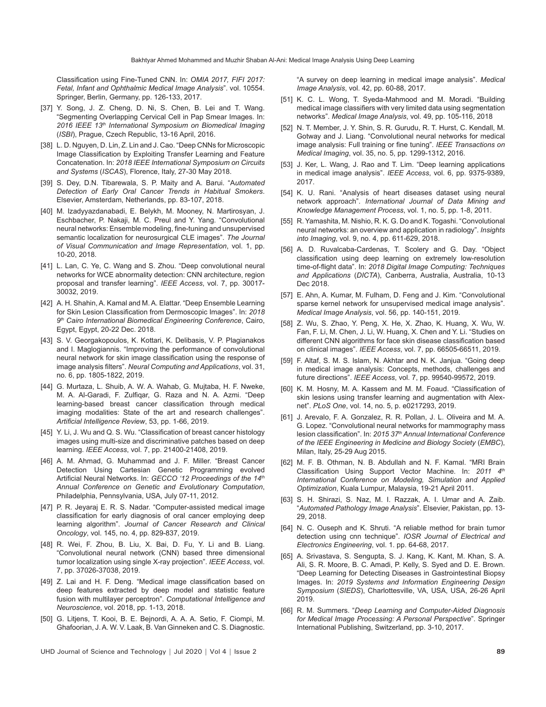Classification using Fine-Tuned CNN. In: *OMIA 2017, FIFI 2017: Fetal, Infant and Ophthalmic Medical Image Analysis*". vol. 10554. Springer, Berlin, Germany, pp. 126-133, 2017.

- [37] Y. Song, J. Z. Cheng, D. Ni, S. Chen, B. Lei and T. Wang. "Segmenting Overlapping Cervical Cell in Pap Smear Images. In: *2016 IEEE 13th International Symposium on Biomedical Imaging* (*ISBI*), Prague, Czech Republic, 13-16 April, 2016.
- [38] L. D. Nguyen, D. Lin, Z. Lin and J. Cao. "Deep CNNs for Microscopic Image Classification by Exploiting Transfer Learning and Feature Concatenation. In: *2018 IEEE International Symposium on Circuits and Systems* (*ISCAS*), Florence, Italy, 27-30 May 2018.
- [39] S. Dey, D.N. Tibarewala, S. P. Maity and A. Barui. "A*utomated Detection of Early Oral Cancer Trends in Habitual Smokers*. Elsevier, Amsterdam, Netherlands, pp. 83-107, 2018.
- [40] M. Izadyyazdanabadi, E. Belykh, M. Mooney, N. Martirosyan, J. Eschbacher, P. Nakaji, M. C. Preul and Y. Yang. "Convolutional neural networks: Ensemble modeling, fine-tuning and unsupervised semantic localization for neurosurgical CLE images". *The Journal of Visual Communication and Image Representation*, vol. 1, pp. 10-20, 2018.
- [41] L. Lan, C. Ye, C. Wang and S. Zhou. "Deep convolutional neural networks for WCE abnormality detection: CNN architecture, region proposal and transfer learning". *IEEE Access*, vol. 7, pp. 30017- 30032, 2019.
- [42] A. H. Shahin, A. Kamal and M. A. Elattar. "Deep Ensemble Learning for Skin Lesion Classification from Dermoscopic Images". In: *2018 9th Cairo International Biomedical Engineering Conference*, Cairo, Egypt, Egypt, 20-22 Dec. 2018.
- [43] S. V. Georgakopoulos, K. Kottari, K. Delibasis, V. P. Plagianakos and I. Maglogiannis. "Improving the performance of convolutional neural network for skin image classification using the response of image analysis filters". *Neural Computing and Applications*, vol. 31, no. 6, pp. 1805-1822, 2019.
- [44] G. Murtaza, L. Shuib, A. W. A. Wahab, G. Mujtaba, H. F. Nweke, M. A. Al-Garadi, F. Zulfiqar, G. Raza and N. A. Azmi. "Deep learning-based breast cancer classification through medical imaging modalities: State of the art and research challenges". *Artificial Intelligence Review*, 53, pp. 1-66, 2019.
- [45] Y. Li, J. Wu and Q. S. Wu. "Classification of breast cancer histology images using multi-size and discriminative patches based on deep learning. *IEEE Access*, vol. 7, pp. 21400-21408, 2019.
- [46] A. M. Ahmad, G. Muhammad and J. F. Miller. "Breast Cancer Detection Using Cartesian Genetic Programming evolved Artificial Neural Networks. In: *GECCO '12 Proceedings of the 14th Annual Conference on Genetic and Evolutionary Computation*, Philadelphia, Pennsylvania, USA, July 07-11, 2012.
- [47] P. R. Jeyaraj E. R. S. Nadar. "Computer-assisted medical image classification for early diagnosis of oral cancer employing deep learning algorithm". *Journal of Cancer Research and Clinical Oncology*, vol. 145, no. 4, pp. 829-837, 2019.
- [48] R. Wei, F. Zhou, B. Liu, X. Bai, D. Fu, Y. Li and B. Liang. "Convolutional neural network (CNN) based three dimensional tumor localization using single X-ray projection". *IEEE Access*, vol. 7, pp. 37026-37038, 2019.
- [49] Z. Lai and H. F. Deng. "Medical image classification based on deep features extracted by deep model and statistic feature fusion with multilayer perceptron". *Computational Intelligence and Neuroscience*, vol. 2018, pp. 1-13, 2018.
- [50] G. Litjens, T. Kooi, B. E. Bejnordi, A. A. A. Setio, F. Ciompi, M. Ghafoorian, J. A. W. V. Laak, B. Van Ginneken and C. S. Diagnostic.

"A survey on deep learning in medical image analysis". *Medical Image Analysis*, vol. 42, pp. 60-88, 2017.

- [51] K. C. L. Wong, T. Syeda-Mahmood and M. Moradi. "Building medical image classifiers with very limited data using segmentation networks". *Medical Image Analysis*, vol. 49, pp. 105-116, 2018
- [52] N. T. Member, J. Y. Shin, S. R. Gurudu, R. T. Hurst, C. Kendall, M. Gotway and J. Liang. "Convolutional neural networks for medical image analysis: Full training or fine tuning". *IEEE Transactions on Medical Imaging*, vol. 35, no. 5, pp. 1299-1312, 2016.
- [53] J. Ker, L. Wang, J. Rao and T. Lim. "Deep learning applications in medical image analysis". *IEEE Access*, vol. 6, pp. 9375-9389, 2017.
- [54] K. U. Rani. "Analysis of heart diseases dataset using neural network approach". *International Journal of Data Mining and Knowledge Management Process*, vol. 1, no. 5, pp. 1-8, 2011.
- [55] R. Yamashita, M. Nishio, R. K. G. Do and K. Togashi. "Convolutional neural networks: an overview and application in radiology". *Insights into Imaging*, vol. 9, no. 4, pp. 611-629, 2018.
- [56] A. D. Ruvalcaba-Cardenas, T. Scolery and G. Day. "Object classification using deep learning on extremely low-resolution time-of-flight data". In: *2018 Digital Image Computing: Techniques and Applications* (*DICTA*), Canberra, Australia, Australia, 10-13 Dec 2018.
- [57] E. Ahn, A. Kumar, M. Fulham, D. Feng and J. Kim. "Convolutional sparse kernel network for unsupervised medical image analysis". *Medical Image Analysis*, vol. 56, pp. 140-151, 2019.
- [58] Z. Wu, S. Zhao, Y. Peng, X. He, X. Zhao, K. Huang, X. Wu, W. Fan, F. Li, M. Chen, J. Li, W. Huang, X. Chen and Y. Li. "Studies on different CNN algorithms for face skin disease classification based on clinical images". *IEEE Access*, vol. 7, pp. 66505-66511, 2019.
- [59] F. Altaf, S. M. S. Islam, N. Akhtar and N. K. Janjua. "Going deep in medical image analysis: Concepts, methods, challenges and future directions". *IEEE Access*, vol. 7, pp. 99540-99572, 2019.
- [60] K. M. Hosny, M. A. Kassem and M. M. Foaud. "Classification of skin lesions using transfer learning and augmentation with Alexnet". *PLoS One*, vol. 14, no. 5, p. e0217293, 2019.
- [61] J. Arevalo, F. A. Gonzalez, R. R. Pollan, J. L. Oliveira and M. A. G. Lopez. "Convolutional neural networks for mammography mass lesion classification". In: *2015 37th Annual International Conference of the IEEE Engineering in Medicine and Biology Society* (*EMBC*), Milan, Italy, 25-29 Aug 2015.
- [62] M. F. B. Othman, N. B. Abdullah and N. F. Kamal. "MRI Brain Classification Using Support Vector Machine. In: 2011 4th *International Conference on Modeling, Simulation and Applied Optimization*, Kuala Lumpur, Malaysia, 19-21 April 2011.
- [63] S. H. Shirazi, S. Naz, M. I. Razzak, A. I. Umar and A. Zaib. "*Automated Pathology Image Analysis*". Elsevier, Pakistan, pp. 13- 29, 2018.
- [64] N. C. Ouseph and K. Shruti. "A reliable method for brain tumor detection using cnn technique". *IOSR Journal of Electrical and Electronics Engineering*, vol. 1. pp. 64-68, 2017.
- [65] A. Srivastava, S. Sengupta, S. J. Kang, K. Kant, M. Khan, S. A. Ali, S. R. Moore, B. C. Amadi, P. Kelly, S. Syed and D. E. Brown. "Deep Learning for Detecting Diseases in Gastrointestinal Biopsy Images. In: *2019 Systems and Information Engineering Design Symposium* (*SIEDS*), Charlottesville, VA, USA, USA, 26-26 April 2019.
- [66] R. M. Summers. "*Deep Learning and Computer-Aided Diagnosis for Medical Image Processing: A Personal Perspective*". Springer International Publishing, Switzerland, pp. 3-10, 2017.
- UHD Journal of Science and Technology | Jul 2020 | Vol 4 | Issue 2 **89**